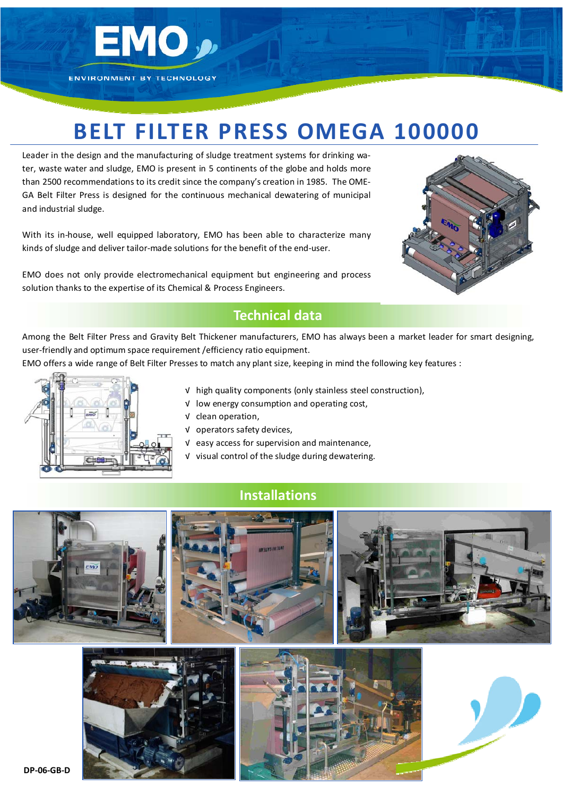

**ENVIRONMENT BY TECHNOLOGY** 

# **BELT FILTER PRESS OMEGA 100000**

Leader in the design and the manufacturing of sludge treatment systems for drinking water, waste water and sludge, EMO is present in 5 continents of the globe and holds more than 2500 recommendations to its credit since the company's creation in 1985. The OME‐ GA Belt Filter Press is designed for the continuous mechanical dewatering of municipal and industrial sludge.

With its in-house, well equipped laboratory, EMO has been able to characterize many kinds of sludge and deliver tailor-made solutions for the benefit of the end-user.

EMO does not only provide electromechanical equipment but engineering and process solution thanks to the expertise of its Chemical & Process Engineers.



#### **Technical data**

Among the Belt Filter Press and Gravity Belt Thickener manufacturers, EMO has always been a market leader for smart designing, user-friendly and optimum space requirement / efficiency ratio equipment.

EMO offers a wide range of Belt Filter Presses to match any plant size, keeping in mind the following key features :



- √ high quality components (only stainless steel construction),
- √ low energy consumption and operating cost,
- √ clean operation,
- √ operators safety devices,
- √ easy access for supervision and maintenance,
- √ visual control of the sludge during dewatering.

### **Installations**